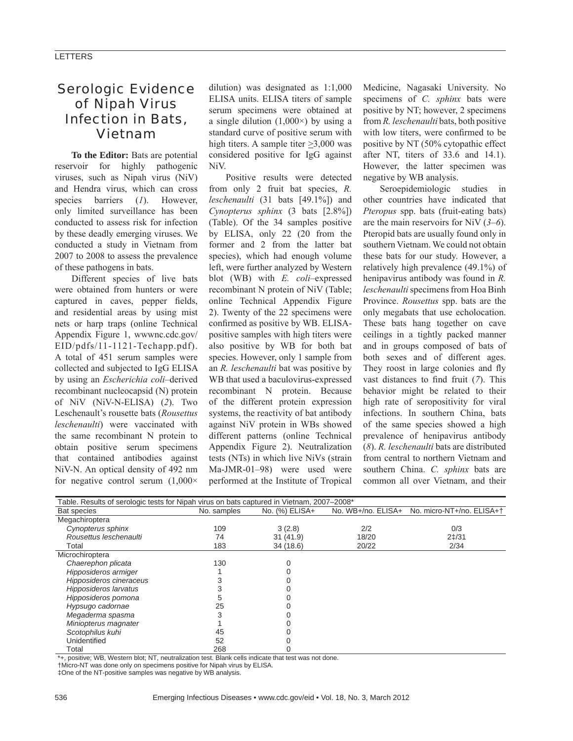## Serologic Evidence of Nipah Virus Infection in Bats, Vietnam

**To the Editor:** Bats are potential reservoir for highly pathogenic viruses, such as Nipah virus (NiV) and Hendra virus, which can cross species barriers (*1*). However, only limited surveillance has been conducted to assess risk for infection by these deadly emerging viruses. We conducted a study in Vietnam from 2007 to 2008 to assess the prevalence of these pathogens in bats.

Different species of live bats were obtained from hunters or were captured in caves, pepper fields, and residential areas by using mist nets or harp traps (online Technical Appendix Figure 1, wwwnc.cdc.gov/ EID/pdfs/11-1121-Techapp.pdf). A total of 451 serum samples were collected and subjected to IgG ELISA by using an *Escherichia coli*–derived recombinant nucleocapsid (N) protein of NiV (NiV-N-ELISA) (*2*). Two Leschenault's rousette bats (*Rousettus leschenaulti*) were vaccinated with the same recombinant N protein to obtain positive serum specimens that contained antibodies against NiV-N. An optical density of 492 nm for negative control serum  $(1,000\times$ 

dilution) was designated as 1:1,000 ELISA units. ELISA titers of sample serum specimens were obtained at a single dilution  $(1,000\times)$  by using a standard curve of positive serum with high titers. A sample titer >3,000 was considered positive for IgG against NiV.

Positive results were detected from only 2 fruit bat species, *R. leschenaulti* (31 bats [49.1%]) and *Cynopterus sphinx* (3 bats [2.8%]) (Table). Of the 34 samples positive by ELISA, only 22 (20 from the former and 2 from the latter bat species), which had enough volume left, were further analyzed by Western blot (WB) with *E. coli*–expressed recombinant N protein of NiV (Table; online Technical Appendix Figure 2). Twenty of the 22 specimens were confirmed as positive by WB. ELISApositive samples with high titers were also positive by WB for both bat species. However, only 1 sample from an *R. leschenaulti* bat was positive by WB that used a baculovirus-expressed recombinant N protein. Because of the different protein expression systems, the reactivity of bat antibody against NiV protein in WBs showed different patterns (online Technical Appendix Figure 2). Neutralization tests (NTs) in which live NiVs (strain Ma-JMR-01–98) were used were performed at the Institute of Tropical

Medicine, Nagasaki University. No specimens of *C. sphinx* bats were positive by NT; however, 2 specimens from *R. leschenaulti* bats, both positive with low titers, were confirmed to be positive by NT (50% cytopathic effect after NT, titers of 33.6 and 14.1). However, the latter specimen was negative by WB analysis.

Seroepidemiologic studies in other countries have indicated that *Pteropus* spp. bats (fruit-eating bats) are the main reservoirs for NiV (*3*–*6*). Pteropid bats are usually found only in southern Vietnam. We could not obtain these bats for our study. However, a relatively high prevalence (49.1%) of henipavirus antibody was found in *R. leschenaulti* specimens from Hoa Binh Province. *Rousettus* spp. bats are the only megabats that use echolocation. These bats hang together on cave ceilings in a tightly packed manner and in groups composed of bats of both sexes and of different ages. They roost in large colonies and fly vast distances to find fruit (7). This behavior might be related to their high rate of seropositivity for viral infections. In southern China, bats of the same species showed a high prevalence of henipavirus antibody (*8*). *R. leschenaulti* bats are distributed from central to northern Vietnam and southern China. *C. sphinx* bats are common all over Vietnam, and their

| Table. Results of serologic tests for Nipah virus on bats captured in Vietnam, 2007–2008* |             |                |                    |                           |
|-------------------------------------------------------------------------------------------|-------------|----------------|--------------------|---------------------------|
| Bat species                                                                               | No. samples | No. (%) ELISA+ | No. WB+/no. ELISA+ | No. micro-NT+/no. ELISA++ |
| Megachiroptera                                                                            |             |                |                    |                           |
| Cynopterus sphinx                                                                         | 109         | 3(2.8)         | 2/2                | 0/3                       |
| Rousettus leschenaulti                                                                    | 74          | 31(41.9)       | 18/20              | $2\frac{1}{31}$           |
| Total                                                                                     | 183         | 34(18.6)       | 20/22              | 2/34                      |
| Microchiroptera                                                                           |             |                |                    |                           |
| Chaerephon plicata                                                                        | 130         |                |                    |                           |
| Hipposideros armiger                                                                      |             |                |                    |                           |
| Hipposideros cineraceus                                                                   |             |                |                    |                           |
| Hipposideros larvatus                                                                     |             |                |                    |                           |
| Hipposideros pomona                                                                       |             |                |                    |                           |
| Hypsugo cadornae                                                                          | 25          |                |                    |                           |
| Megaderma spasma                                                                          |             |                |                    |                           |
| Miniopterus magnater                                                                      |             |                |                    |                           |
| Scotophilus kuhi                                                                          | 45          |                |                    |                           |
| Unidentified                                                                              | 52          |                |                    |                           |
| Total                                                                                     | 268         |                |                    |                           |

\*+, positive; WB, Western blot; NT, neutralization test. Blank cells indicate that test was not done.

†Micro-NT was done only on specimens positive for Nipah virus by ELISA.

‡One of the NT-positive samples was negative by WB analysis.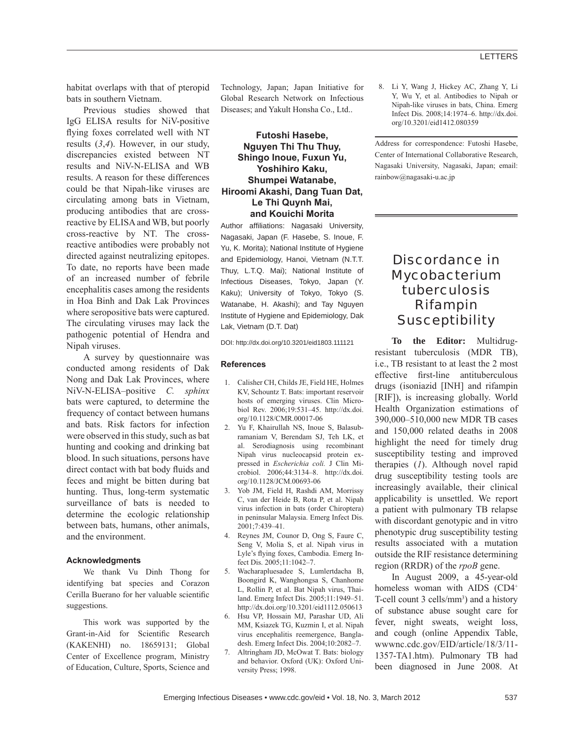habitat overlaps with that of pteropid bats in southern Vietnam.

Previous studies showed that IgG ELISA results for NiV-positive flying foxes correlated well with NT results (*3*,*4*). However, in our study, discrepancies existed between NT results and NiV-N-ELISA and WB results. A reason for these differences could be that Nipah-like viruses are circulating among bats in Vietnam, producing antibodies that are crossreactive by ELISA and WB, but poorly cross-reactive by NT. The crossreactive antibodies were probably not directed against neutralizing epitopes. To date, no reports have been made of an increased number of febrile encephalitis cases among the residents in Hoa Binh and Dak Lak Provinces where seropositive bats were captured. The circulating viruses may lack the pathogenic potential of Hendra and Nipah viruses.

A survey by questionnaire was conducted among residents of Dak Nong and Dak Lak Provinces, where NiV-N-ELISA–positive *C. sphinx* bats were captured, to determine the frequency of contact between humans and bats. Risk factors for infection were observed in this study, such as bat hunting and cooking and drinking bat blood. In such situations, persons have direct contact with bat body fluids and feces and might be bitten during bat hunting. Thus, long-term systematic surveillance of bats is needed to determine the ecologic relationship between bats, humans, other animals, and the environment.

#### **Acknowledgments**

We thank Vu Dinh Thong for identifying bat species and Corazon Cerilla Buerano for her valuable scientific suggestions.

This work was supported by the Grant-in-Aid for Scientific Research (KAKENHI) no. 18659131; Global Center of Excellence program, Ministry of Education, Culture, Sports, Science and

Technology, Japan; Japan Initiative for Global Research Network on Infectious Diseases; and Yakult Honsha Co., Ltd..

### **Futoshi Hasebe, Nguyen Thi Thu Thuy, Shingo Inoue, Fuxun Yu, Yoshihiro Kaku, Shumpei Watanabe, Hiroomi Akashi, Dang Tuan Dat, Le Thi Quynh Mai, and Kouichi Morita**

Author affiliations: Nagasaki University, Nagasaki, Japan (F. Hasebe, S. Inoue, F. Yu, K. Morita); National Institute of Hygiene and Epidemiology, Hanoi, Vietnam (N.T.T. Thuy, L.T.Q. Mai); National Institute of Infectious Diseases, Tokyo, Japan (Y. Kaku); University of Tokyo, Tokyo (S. Watanabe, H. Akashi); and Tay Nguyen Institute of Hygiene and Epidemiology, Dak Lak, Vietnam (D.T. Dat)

DOI: http://dx.doi.org/10.3201/eid1803.111121

#### **References**

- 1. Calisher CH, Childs JE, Field HE, Holmes KV, Schountz T. Bats: important reservoir hosts of emerging viruses. Clin Microbiol Rev. 2006;19:531–45. http://dx.doi. org/10.1128/CMR.00017-06
- Yu F, Khairullah NS, Inoue S, Balasubramaniam V, Berendam SJ, Teh LK, et al. Serodiagnosis using recombinant Nipah virus nucleocapsid protein expressed in *Escherichia coli.* J Clin Microbiol. 2006;44:3134–8. http://dx.doi. org/10.1128/JCM.00693-06
- 3. Yob JM, Field H, Rashdi AM, Morrissy C, van der Heide B, Rota P, et al. Nipah virus infection in bats (order Chiroptera) in peninsular Malaysia. Emerg Infect Dis. 2001;7:439–41.
- 4. Reynes JM, Counor D, Ong S, Faure C, Seng V, Molia S, et al. Nipah virus in Lyle's flying foxes, Cambodia. Emerg Infect Dis. 2005;11:1042–7.
- 5. Wacharapluesadee S, Lumlertdacha B, Boongird K, Wanghongsa S, Chanhome L, Rollin P, et al. Bat Nipah virus, Thailand. Emerg Infect Dis. 2005;11:1949–51. http://dx.doi.org/10.3201/eid1112.050613
- 6. Hsu VP, Hossain MJ, Parashar UD, Ali MM, Ksiazek TG, Kuzmin I, et al. Nipah virus encephalitis reemergence, Bangladesh. Emerg Infect Dis. 2004;10:2082–7.
- 7. Altringham JD, McOwat T. Bats: biology and behavior. Oxford (UK): Oxford University Press; 1998.

 8. Li Y, Wang J, Hickey AC, Zhang Y, Li Y, Wu Y, et al. Antibodies to Nipah or Nipah-like viruses in bats, China. Emerg Infect Dis. 2008;14:1974–6. http://dx.doi. org/10.3201/eid1412.080359

Address for correspondence: Futoshi Hasebe, Center of International Collaborative Research, Nagasaki University, Nagasaki, Japan; email: rainbow@nagasaki-u.ac.jp

## Discordance in *Mycobacterium tuberculosis* Rifampin **Susceptibility**

**To the Editor:** Multidrugresistant tuberculosis (MDR TB), i.e., TB resistant to at least the 2 most effective first-line antituberculous drugs (isoniazid [INH] and rifampin [RIF]), is increasing globally. World Health Organization estimations of 390,000–510,000 new MDR TB cases and 150,000 related deaths in 2008 highlight the need for timely drug susceptibility testing and improved therapies (*1*). Although novel rapid drug susceptibility testing tools are increasingly available, their clinical applicability is unsettled. We report a patient with pulmonary TB relapse with discordant genotypic and in vitro phenotypic drug susceptibility testing results associated with a mutation outside the RIF resistance determining region (RRDR) of the *rpoB* gene.

In August 2009, a 45-year-old homeless woman with AIDS (CD4<sup>+</sup> T-cell count  $3$  cells/mm<sup>3</sup>) and a history of substance abuse sought care for fever, night sweats, weight loss, and cough (online Appendix Table, wwwnc.cdc.gov/EID/article/18/3/11- 1357-TA1.htm). Pulmonary TB had been diagnosed in June 2008. At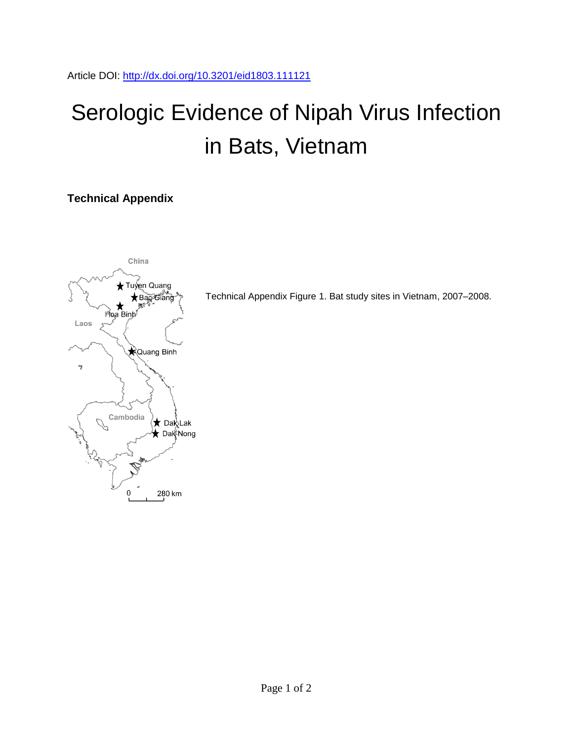# Serologic Evidence of Nipah Virus Infection in Bats, Vietnam

## **Technical Appendix**



Technical Appendix Figure 1. Bat study sites in Vietnam, 2007–2008.